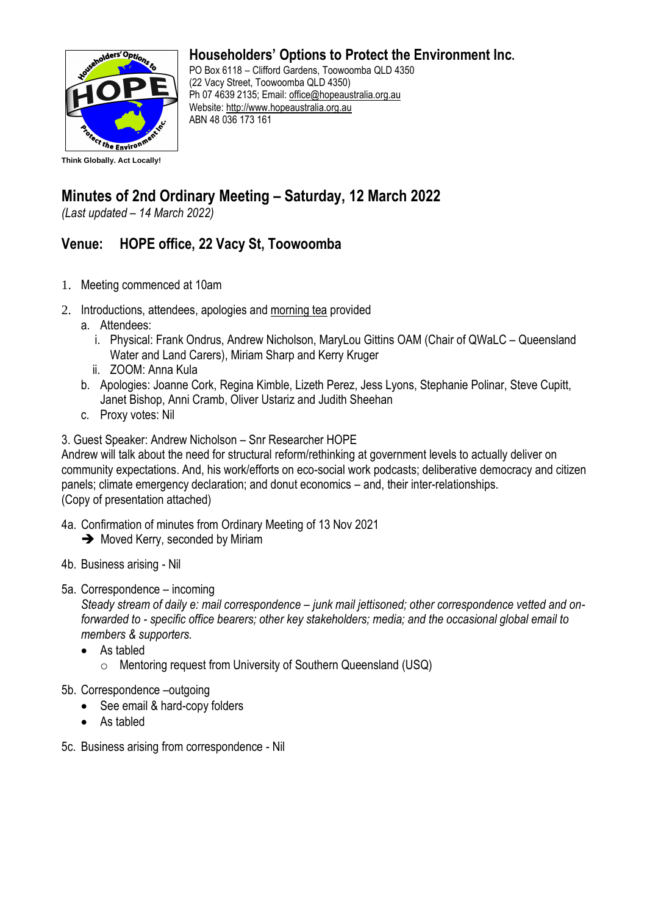

## **Householders' Options to Protect the Environment Inc.**

PO Box 6118 – Clifford Gardens, Toowoomba QLD 4350 (22 Vacy Street, Toowoomba QLD 4350) Ph 07 4639 2135; Email: [office@hopeaustralia.org.au](mailto:office@hopeaustralia.org.au)  Website: [http://www.hopeaustralia.org.au](http://www.hopeaustralia.org.au/) ABN 48 036 173 161

## **Minutes of 2nd Ordinary Meeting – Saturday, 12 March 2022**

*(Last updated – 14 March 2022)*

## **Venue: HOPE office, 22 Vacy St, Toowoomba**

- 1. Meeting commenced at 10am
- 2. Introductions, attendees, apologies and morning tea provided
	- a. Attendees:
		- i. Physical: Frank Ondrus, Andrew Nicholson, MaryLou Gittins OAM (Chair of QWaLC Queensland Water and Land Carers), Miriam Sharp and Kerry Kruger
		- ii. ZOOM: Anna Kula
	- b. Apologies: Joanne Cork, Regina Kimble, Lizeth Perez, Jess Lyons, Stephanie Polinar, Steve Cupitt, Janet Bishop, Anni Cramb, Oliver Ustariz and Judith Sheehan
	- c. Proxy votes: Nil

3. Guest Speaker: Andrew Nicholson – Snr Researcher HOPE

Andrew will talk about the need for structural reform/rethinking at government levels to actually deliver on community expectations. And, his work/efforts on eco-social work podcasts; deliberative democracy and citizen panels; climate emergency declaration; and donut economics – and, their inter-relationships. (Copy of presentation attached)

- 4a. Confirmation of minutes from Ordinary Meeting of 13 Nov 2021
	- **→** Moved Kerry, seconded by Miriam
- 4b. Business arising Nil
- 5a. Correspondence incoming

*Steady stream of daily e: mail correspondence – junk mail jettisoned; other correspondence vetted and onforwarded to - specific office bearers; other key stakeholders; media; and the occasional global email to members & supporters.* 

- As tabled
	- o Mentoring request from University of Southern Queensland (USQ)
- 5b. Correspondence –outgoing
	- See email & hard-copy folders
	- As tabled
- 5c. Business arising from correspondence Nil